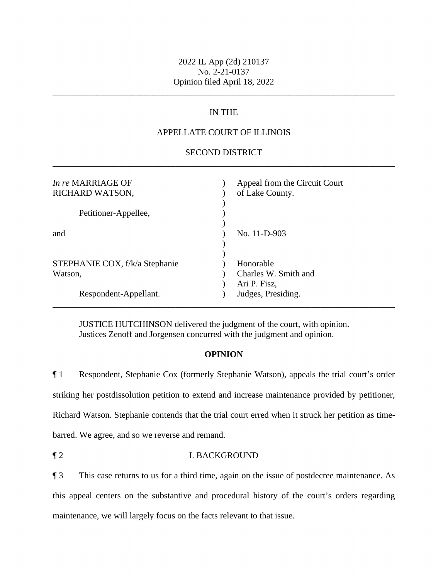# 2022 IL App (2d) 210137 No. 2-21-0137 Opinion filed April 18, 2022

\_\_\_\_\_\_\_\_\_\_\_\_\_\_\_\_\_\_\_\_\_\_\_\_\_\_\_\_\_\_\_\_\_\_\_\_\_\_\_\_\_\_\_\_\_\_\_\_\_\_\_\_\_\_\_\_\_\_\_\_\_\_\_\_\_\_\_\_\_\_\_\_\_\_\_\_\_\_

## IN THE

### APPELLATE COURT OF ILLINOIS

### \_\_\_\_\_\_\_\_\_\_\_\_\_\_\_\_\_\_\_\_\_\_\_\_\_\_\_\_\_\_\_\_\_\_\_\_\_\_\_\_\_\_\_\_\_\_\_\_\_\_\_\_\_\_\_\_\_\_\_\_\_\_\_\_\_\_\_\_\_\_\_\_\_\_\_\_\_\_ SECOND DISTRICT

| In re MARRIAGE OF<br>RICHARD WATSON, | Appeal from the Circuit Court<br>of Lake County. |
|--------------------------------------|--------------------------------------------------|
| Petitioner-Appellee,                 |                                                  |
|                                      |                                                  |
| and                                  | No. 11-D-903                                     |
|                                      |                                                  |
| STEPHANIE COX, f/k/a Stephanie       | Honorable                                        |
| Watson,                              | Charles W. Smith and                             |
|                                      | Ari P. Fisz,                                     |
| Respondent-Appellant.                | Judges, Presiding.                               |
|                                      |                                                  |

JUSTICE HUTCHINSON delivered the judgment of the court, with opinion. Justices Zenoff and Jorgensen concurred with the judgment and opinion.

#### **OPINION**

 Richard Watson. Stephanie contends that the trial court erred when it struck her petition as time- barred. We agree, and so we reverse and remand. ¶ 1 Respondent, Stephanie Cox (formerly Stephanie Watson), appeals the trial court's order striking her postdissolution petition to extend and increase maintenance provided by petitioner,

¶ 2 I. BACKGROUND

¶ 3 This case returns to us for a third time, again on the issue of postdecree maintenance. As this appeal centers on the substantive and procedural history of the court's orders regarding maintenance, we will largely focus on the facts relevant to that issue.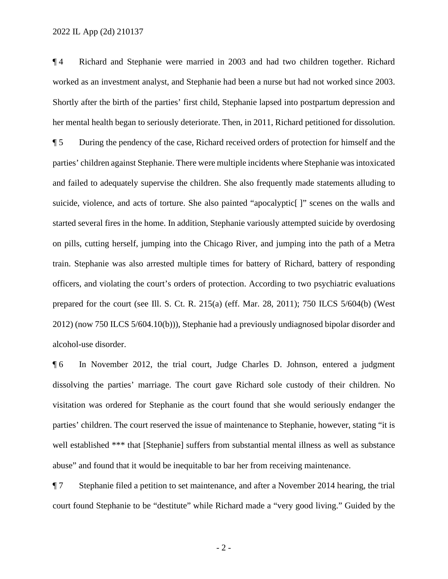prepared for the court (see Ill. S. Ct. R. 215(a) (eff. Mar. 28, 2011); 750 ILCS 5/604(b) (West 2012) (now 750 ILCS 5/604.10(b))), Stephanie had a previously undiagnosed bipolar disorder and ¶ 4 Richard and Stephanie were married in 2003 and had two children together. Richard worked as an investment analyst, and Stephanie had been a nurse but had not worked since 2003. Shortly after the birth of the parties' first child, Stephanie lapsed into postpartum depression and her mental health began to seriously deteriorate. Then, in 2011, Richard petitioned for dissolution. ¶ 5 During the pendency of the case, Richard received orders of protection for himself and the parties' children against Stephanie. There were multiple incidents where Stephanie was intoxicated and failed to adequately supervise the children. She also frequently made statements alluding to suicide, violence, and acts of torture. She also painted "apocalyptic<sup>[]</sup>" scenes on the walls and started several fires in the home. In addition, Stephanie variously attempted suicide by overdosing on pills, cutting herself, jumping into the Chicago River, and jumping into the path of a Metra train. Stephanie was also arrested multiple times for battery of Richard, battery of responding officers, and violating the court's orders of protection. According to two psychiatric evaluations alcohol-use disorder.

¶ 6 In November 2012, the trial court, Judge Charles D. Johnson, entered a judgment dissolving the parties' marriage. The court gave Richard sole custody of their children. No visitation was ordered for Stephanie as the court found that she would seriously endanger the parties' children. The court reserved the issue of maintenance to Stephanie, however, stating "it is well established \*\*\* that [Stephanie] suffers from substantial mental illness as well as substance abuse" and found that it would be inequitable to bar her from receiving maintenance.

¶ 7 Stephanie filed a petition to set maintenance, and after a November 2014 hearing, the trial court found Stephanie to be "destitute" while Richard made a "very good living." Guided by the

- 2 -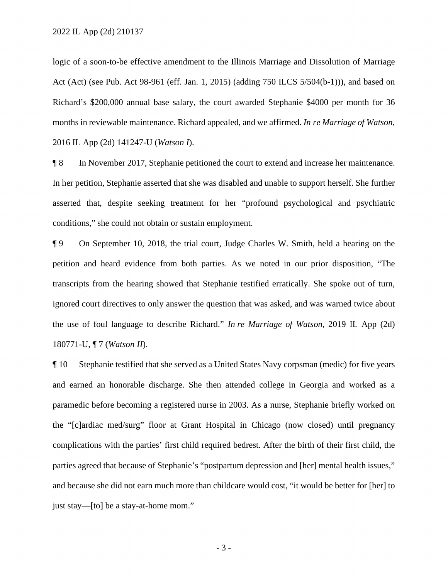logic of a soon-to-be effective amendment to the Illinois Marriage and Dissolution of Marriage Act (Act) (see Pub. Act 98-961 (eff. Jan. 1, 2015) (adding 750 ILCS 5/504(b-1))), and based on Richard's \$200,000 annual base salary, the court awarded Stephanie \$4000 per month for 36 months in reviewable maintenance. Richard appealed, and we affirmed. *In re Marriage of Watson*, 2016 IL App (2d) 141247-U (*Watson I*).

¶ 8 In November 2017, Stephanie petitioned the court to extend and increase her maintenance. In her petition, Stephanie asserted that she was disabled and unable to support herself. She further asserted that, despite seeking treatment for her "profound psychological and psychiatric conditions," she could not obtain or sustain employment.

¶ 9 On September 10, 2018, the trial court, Judge Charles W. Smith, held a hearing on the petition and heard evidence from both parties. As we noted in our prior disposition, "The transcripts from the hearing showed that Stephanie testified erratically. She spoke out of turn, ignored court directives to only answer the question that was asked, and was warned twice about the use of foul language to describe Richard." *In re Marriage of Watson*, 2019 IL App (2d) 180771-U, ¶ 7 (*Watson II*).

¶ 10 Stephanie testified that she served as a United States Navy corpsman (medic) for five years and earned an honorable discharge. She then attended college in Georgia and worked as a paramedic before becoming a registered nurse in 2003. As a nurse, Stephanie briefly worked on the "[c]ardiac med/surg" floor at Grant Hospital in Chicago (now closed) until pregnancy complications with the parties' first child required bedrest. After the birth of their first child, the parties agreed that because of Stephanie's "postpartum depression and [her] mental health issues," and because she did not earn much more than childcare would cost, "it would be better for [her] to just stay—[to] be a stay-at-home mom."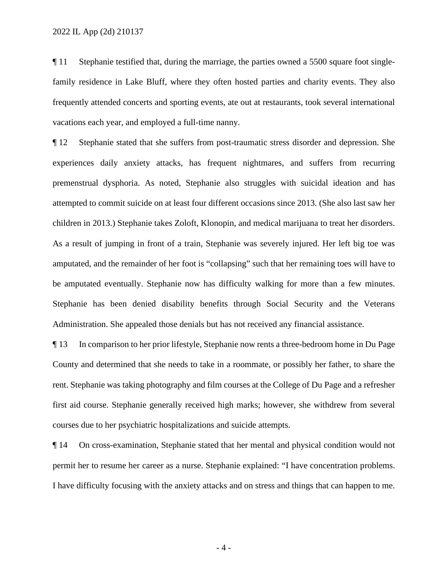¶ 11 Stephanie testified that, during the marriage, the parties owned a 5500 square foot singlefamily residence in Lake Bluff, where they often hosted parties and charity events. They also frequently attended concerts and sporting events, ate out at restaurants, took several international vacations each year, and employed a full-time nanny.

 Administration. She appealed those denials but has not received any financial assistance. ¶ 12 Stephanie stated that she suffers from post-traumatic stress disorder and depression. She experiences daily anxiety attacks, has frequent nightmares, and suffers from recurring premenstrual dysphoria. As noted, Stephanie also struggles with suicidal ideation and has attempted to commit suicide on at least four different occasions since 2013. (She also last saw her children in 2013.) Stephanie takes Zoloft, Klonopin, and medical marijuana to treat her disorders. As a result of jumping in front of a train, Stephanie was severely injured. Her left big toe was amputated, and the remainder of her foot is "collapsing" such that her remaining toes will have to be amputated eventually. Stephanie now has difficulty walking for more than a few minutes. Stephanie has been denied disability benefits through Social Security and the Veterans

 ¶ 13 In comparison to her prior lifestyle, Stephanie now rents a three-bedroom home in Du Page County and determined that she needs to take in a roommate, or possibly her father, to share the rent. Stephanie was taking photography and film courses at the College of Du Page and a refresher first aid course. Stephanie generally received high marks; however, she withdrew from several courses due to her psychiatric hospitalizations and suicide attempts.

 permit her to resume her career as a nurse. Stephanie explained: "I have concentration problems. ¶ 14 On cross-examination, Stephanie stated that her mental and physical condition would not I have difficulty focusing with the anxiety attacks and on stress and things that can happen to me.

- 4 -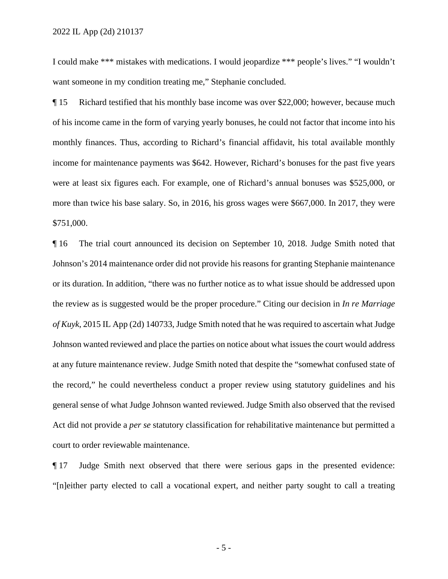I could make \*\*\* mistakes with medications. I would jeopardize \*\*\* people's lives." "I wouldn't want someone in my condition treating me," Stephanie concluded.

 income for maintenance payments was \$642. However, Richard's bonuses for the past five years ¶ 15 Richard testified that his monthly base income was over \$22,000; however, because much of his income came in the form of varying yearly bonuses, he could not factor that income into his monthly finances. Thus, according to Richard's financial affidavit, his total available monthly were at least six figures each. For example, one of Richard's annual bonuses was \$525,000, or more than twice his base salary. So, in 2016, his gross wages were \$667,000. In 2017, they were \$751,000.

 the review as is suggested would be the proper procedure." Citing our decision in *In re Marriage of Kuyk*, 2015 IL App (2d) 140733, Judge Smith noted that he was required to ascertain what Judge ¶ 16 The trial court announced its decision on September 10, 2018. Judge Smith noted that Johnson's 2014 maintenance order did not provide his reasons for granting Stephanie maintenance or its duration. In addition, "there was no further notice as to what issue should be addressed upon Johnson wanted reviewed and place the parties on notice about what issues the court would address at any future maintenance review. Judge Smith noted that despite the "somewhat confused state of the record," he could nevertheless conduct a proper review using statutory guidelines and his general sense of what Judge Johnson wanted reviewed. Judge Smith also observed that the revised Act did not provide a *per se* statutory classification for rehabilitative maintenance but permitted a court to order reviewable maintenance.

¶ 17 Judge Smith next observed that there were serious gaps in the presented evidence: "[n]either party elected to call a vocational expert, and neither party sought to call a treating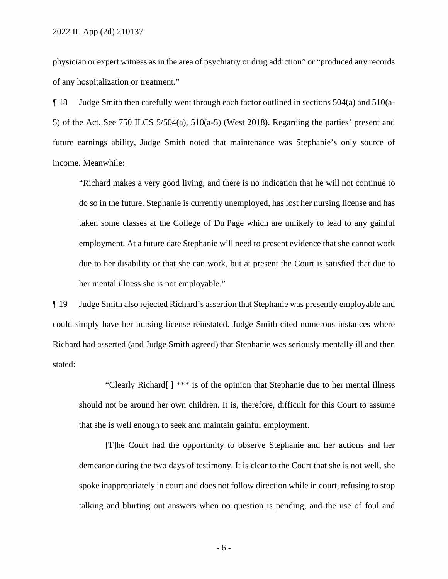of any hospitalization or treatment." physician or expert witness as in the area of psychiatry or drug addiction" or "produced any records

 5) of the Act. See 750 ILCS 5/504(a), 510(a-5) (West 2018). Regarding the parties' present and ¶ 18 Judge Smith then carefully went through each factor outlined in sections 504(a) and 510(afuture earnings ability, Judge Smith noted that maintenance was Stephanie's only source of income. Meanwhile:

 taken some classes at the College of Du Page which are unlikely to lead to any gainful "Richard makes a very good living, and there is no indication that he will not continue to do so in the future. Stephanie is currently unemployed, has lost her nursing license and has employment. At a future date Stephanie will need to present evidence that she cannot work due to her disability or that she can work, but at present the Court is satisfied that due to her mental illness she is not employable."

¶ 19 Judge Smith also rejected Richard's assertion that Stephanie was presently employable and could simply have her nursing license reinstated. Judge Smith cited numerous instances where Richard had asserted (and Judge Smith agreed) that Stephanie was seriously mentally ill and then stated:

"Clearly Richard[ ] \*\*\* is of the opinion that Stephanie due to her mental illness should not be around her own children. It is, therefore, difficult for this Court to assume that she is well enough to seek and maintain gainful employment.

 [T]he Court had the opportunity to observe Stephanie and her actions and her demeanor during the two days of testimony. It is clear to the Court that she is not well, she spoke inappropriately in court and does not follow direction while in court, refusing to stop talking and blurting out answers when no question is pending, and the use of foul and

- 6 -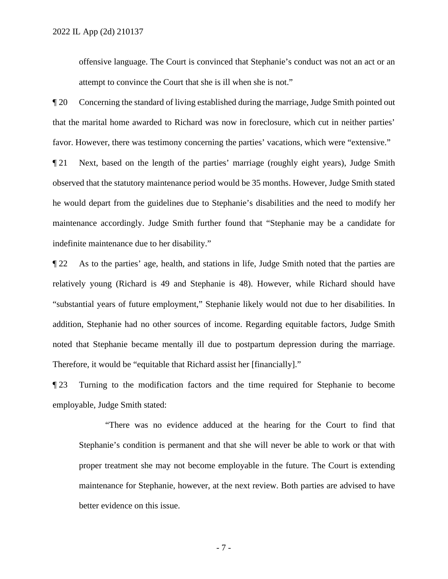offensive language. The Court is convinced that Stephanie's conduct was not an act or an attempt to convince the Court that she is ill when she is not."

¶ 20 Concerning the standard of living established during the marriage, Judge Smith pointed out that the marital home awarded to Richard was now in foreclosure, which cut in neither parties' favor. However, there was testimony concerning the parties' vacations, which were "extensive."

¶ 21 Next, based on the length of the parties' marriage (roughly eight years), Judge Smith observed that the statutory maintenance period would be 35 months. However, Judge Smith stated he would depart from the guidelines due to Stephanie's disabilities and the need to modify her maintenance accordingly. Judge Smith further found that "Stephanie may be a candidate for indefinite maintenance due to her disability."

 ¶ 22 As to the parties' age, health, and stations in life, Judge Smith noted that the parties are relatively young (Richard is 49 and Stephanie is 48). However, while Richard should have "substantial years of future employment," Stephanie likely would not due to her disabilities. In addition, Stephanie had no other sources of income. Regarding equitable factors, Judge Smith noted that Stephanie became mentally ill due to postpartum depression during the marriage. Therefore, it would be "equitable that Richard assist her [financially]."

¶ 23 Turning to the modification factors and the time required for Stephanie to become employable, Judge Smith stated:

"There was no evidence adduced at the hearing for the Court to find that Stephanie's condition is permanent and that she will never be able to work or that with proper treatment she may not become employable in the future. The Court is extending maintenance for Stephanie, however, at the next review. Both parties are advised to have better evidence on this issue.

- 7 -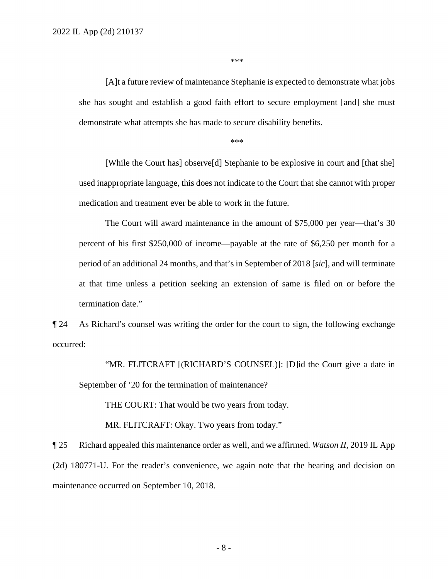\*\*\*

 she has sought and establish a good faith effort to secure employment [and] she must [A]t a future review of maintenance Stephanie is expected to demonstrate what jobs demonstrate what attempts she has made to secure disability benefits.

\*\*\*

[While the Court has] observe[d] Stephanie to be explosive in court and [that she] used inappropriate language, this does not indicate to the Court that she cannot with proper medication and treatment ever be able to work in the future.

The Court will award maintenance in the amount of \$75,000 per year—that's 30 percent of his first \$250,000 of income—payable at the rate of \$6,250 per month for a period of an additional 24 months, and that's in September of 2018 [*sic*], and will terminate at that time unless a petition seeking an extension of same is filed on or before the termination date."

¶ 24 As Richard's counsel was writing the order for the court to sign, the following exchange occurred:

 "MR. FLITCRAFT [(RICHARD'S COUNSEL)]: [D]id the Court give a date in September of '20 for the termination of maintenance?

THE COURT: That would be two years from today.

MR. FLITCRAFT: Okay. Two years from today."

¶ 25 Richard appealed this maintenance order as well, and we affirmed. *Watson II*, 2019 IL App (2d) 180771-U. For the reader's convenience, we again note that the hearing and decision on maintenance occurred on September 10, 2018.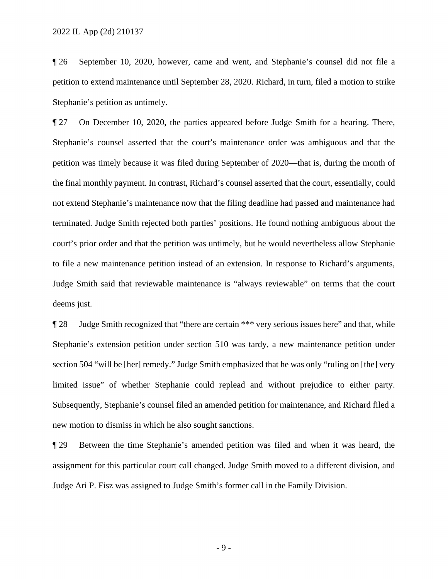¶ 26 September 10, 2020, however, came and went, and Stephanie's counsel did not file a petition to extend maintenance until September 28, 2020. Richard, in turn, filed a motion to strike Stephanie's petition as untimely.

¶ 27 On December 10, 2020, the parties appeared before Judge Smith for a hearing. There, Stephanie's counsel asserted that the court's maintenance order was ambiguous and that the petition was timely because it was filed during September of 2020—that is, during the month of the final monthly payment. In contrast, Richard's counsel asserted that the court, essentially, could not extend Stephanie's maintenance now that the filing deadline had passed and maintenance had terminated. Judge Smith rejected both parties' positions. He found nothing ambiguous about the court's prior order and that the petition was untimely, but he would nevertheless allow Stephanie to file a new maintenance petition instead of an extension. In response to Richard's arguments, Judge Smith said that reviewable maintenance is "always reviewable" on terms that the court deems just.

¶ 28 Judge Smith recognized that "there are certain \*\*\* very serious issues here" and that, while Stephanie's extension petition under section 510 was tardy, a new maintenance petition under section 504 "will be [her] remedy." Judge Smith emphasized that he was only "ruling on [the] very limited issue" of whether Stephanie could replead and without prejudice to either party. Subsequently, Stephanie's counsel filed an amended petition for maintenance, and Richard filed a new motion to dismiss in which he also sought sanctions.

 ¶ 29 Between the time Stephanie's amended petition was filed and when it was heard, the assignment for this particular court call changed. Judge Smith moved to a different division, and Judge Ari P. Fisz was assigned to Judge Smith's former call in the Family Division.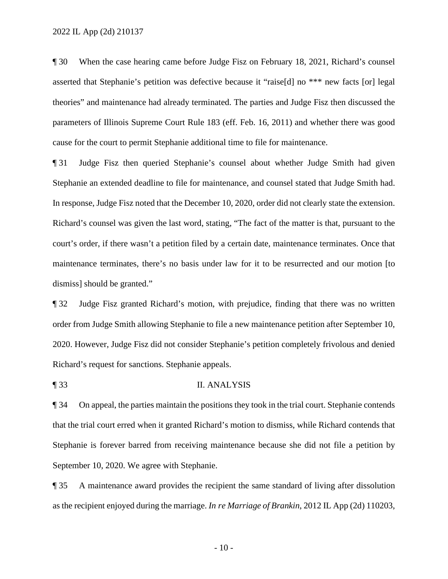¶ 30 When the case hearing came before Judge Fisz on February 18, 2021, Richard's counsel asserted that Stephanie's petition was defective because it "raise[d] no \*\*\* new facts [or] legal theories" and maintenance had already terminated. The parties and Judge Fisz then discussed the parameters of Illinois Supreme Court Rule 183 (eff. Feb. 16, 2011) and whether there was good cause for the court to permit Stephanie additional time to file for maintenance.

¶ 31 Judge Fisz then queried Stephanie's counsel about whether Judge Smith had given Stephanie an extended deadline to file for maintenance, and counsel stated that Judge Smith had. In response, Judge Fisz noted that the December 10, 2020, order did not clearly state the extension. Richard's counsel was given the last word, stating, "The fact of the matter is that, pursuant to the court's order, if there wasn't a petition filed by a certain date, maintenance terminates. Once that maintenance terminates, there's no basis under law for it to be resurrected and our motion [to dismiss] should be granted."

 2020. However, Judge Fisz did not consider Stephanie's petition completely frivolous and denied ¶ 32 Judge Fisz granted Richard's motion, with prejudice, finding that there was no written order from Judge Smith allowing Stephanie to file a new maintenance petition after September 10, Richard's request for sanctions. Stephanie appeals.

¶ 33 II. ANALYSIS

 September 10, 2020. We agree with Stephanie. ¶ 34 On appeal, the parties maintain the positions they took in the trial court. Stephanie contends that the trial court erred when it granted Richard's motion to dismiss, while Richard contends that Stephanie is forever barred from receiving maintenance because she did not file a petition by

¶ 35 A maintenance award provides the recipient the same standard of living after dissolution as the recipient enjoyed during the marriage. *In re Marriage of Brankin*, 2012 IL App (2d) 110203,

 $-10-$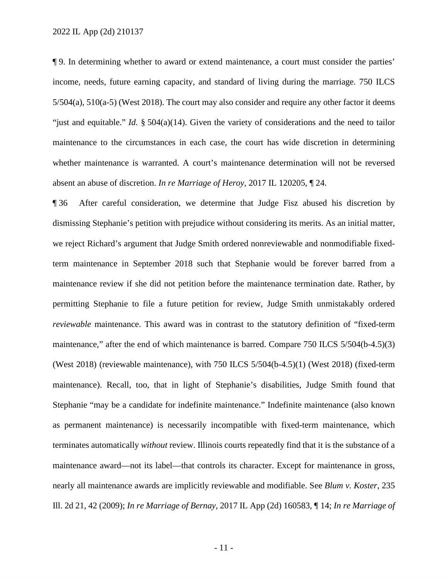whether maintenance is warranted. A court's maintenance determination will not be reversed ¶ 9. In determining whether to award or extend maintenance, a court must consider the parties' income, needs, future earning capacity, and standard of living during the marriage. 750 ILCS 5/504(a), 510(a-5) (West 2018). The court may also consider and require any other factor it deems "just and equitable." *Id.* § 504(a)(14). Given the variety of considerations and the need to tailor maintenance to the circumstances in each case, the court has wide discretion in determining absent an abuse of discretion. *In re Marriage of Heroy*, 2017 IL 120205, ¶ 24.

 terminates automatically *without* review. Illinois courts repeatedly find that it is the substance of a nearly all maintenance awards are implicitly reviewable and modifiable. See *Blum v. Koster*, 235 Ill. 2d 21, 42 (2009); *In re Marriage of Bernay*, 2017 IL App (2d) 160583, ¶ 14; *In re Marriage of*  ¶ 36 After careful consideration, we determine that Judge Fisz abused his discretion by dismissing Stephanie's petition with prejudice without considering its merits. As an initial matter, we reject Richard's argument that Judge Smith ordered nonreviewable and nonmodifiable fixedterm maintenance in September 2018 such that Stephanie would be forever barred from a maintenance review if she did not petition before the maintenance termination date. Rather, by permitting Stephanie to file a future petition for review, Judge Smith unmistakably ordered *reviewable* maintenance. This award was in contrast to the statutory definition of "fixed-term maintenance," after the end of which maintenance is barred. Compare 750 ILCS 5/504(b-4.5)(3) (West 2018) (reviewable maintenance), with 750 ILCS 5/504(b-4.5)(1) (West 2018) (fixed-term maintenance). Recall, too, that in light of Stephanie's disabilities, Judge Smith found that Stephanie "may be a candidate for indefinite maintenance." Indefinite maintenance (also known as permanent maintenance) is necessarily incompatible with fixed-term maintenance, which maintenance award—not its label—that controls its character. Except for maintenance in gross,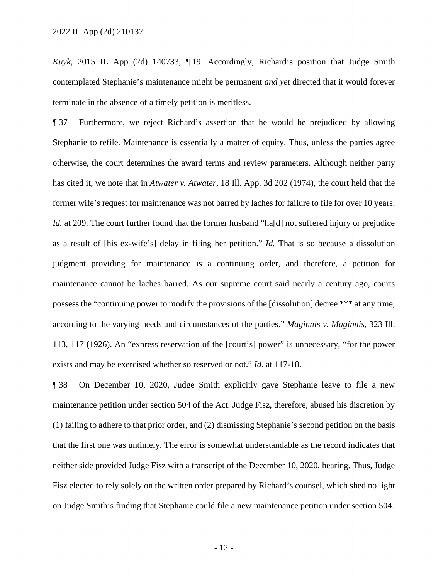contemplated Stephanie's maintenance might be permanent *and yet* directed that it would forever *Kuyk*, 2015 IL App (2d) 140733, ¶ 19. Accordingly, Richard's position that Judge Smith terminate in the absence of a timely petition is meritless.

 ¶ 37 Furthermore, we reject Richard's assertion that he would be prejudiced by allowing as a result of [his ex-wife's] delay in filing her petition." *Id.* That is so because a dissolution Stephanie to refile. Maintenance is essentially a matter of equity. Thus, unless the parties agree otherwise, the court determines the award terms and review parameters. Although neither party has cited it, we note that in *Atwater v. Atwater*, 18 Ill. App. 3d 202 (1974), the court held that the former wife's request for maintenance was not barred by laches for failure to file for over 10 years. *Id.* at 209. The court further found that the former husband "ha[d] not suffered injury or prejudice judgment providing for maintenance is a continuing order, and therefore, a petition for maintenance cannot be laches barred. As our supreme court said nearly a century ago, courts possess the "continuing power to modify the provisions of the [dissolution] decree \*\*\* at any time, according to the varying needs and circumstances of the parties." *Maginnis v. Maginnis*, 323 Ill. 113, 117 (1926). An "express reservation of the [court's] power" is unnecessary, "for the power exists and may be exercised whether so reserved or not." *Id.* at 117-18.

¶ 38 On December 10, 2020, Judge Smith explicitly gave Stephanie leave to file a new maintenance petition under section 504 of the Act. Judge Fisz, therefore, abused his discretion by (1) failing to adhere to that prior order, and (2) dismissing Stephanie's second petition on the basis that the first one was untimely. The error is somewhat understandable as the record indicates that neither side provided Judge Fisz with a transcript of the December 10, 2020, hearing. Thus, Judge Fisz elected to rely solely on the written order prepared by Richard's counsel, which shed no light on Judge Smith's finding that Stephanie could file a new maintenance petition under section 504.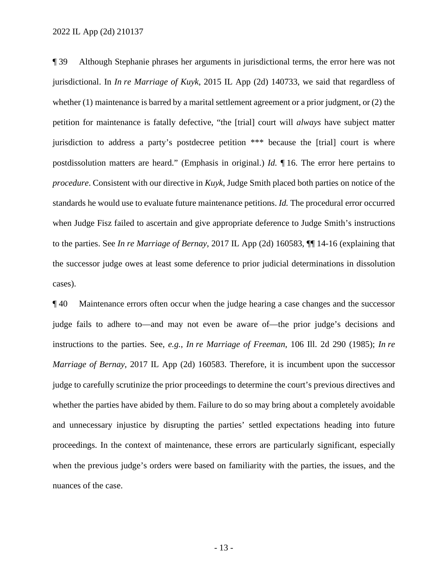petition for maintenance is fatally defective, "the [trial] court will *always* have subject matter postdissolution matters are heard." (Emphasis in original.) *Id.* ¶ 16. The error here pertains to *procedure*. Consistent with our directive in *Kuyk*, Judge Smith placed both parties on notice of the ¶ 39 Although Stephanie phrases her arguments in jurisdictional terms, the error here was not jurisdictional. In *In re Marriage of Kuyk*, 2015 IL App (2d) 140733, we said that regardless of whether (1) maintenance is barred by a marital settlement agreement or a prior judgment, or (2) the jurisdiction to address a party's postdecree petition \*\*\* because the [trial] court is where standards he would use to evaluate future maintenance petitions. *Id.* The procedural error occurred when Judge Fisz failed to ascertain and give appropriate deference to Judge Smith's instructions to the parties. See *In re Marriage of Bernay*, 2017 IL App (2d) 160583, ¶¶ 14-16 (explaining that the successor judge owes at least some deference to prior judicial determinations in dissolution cases).

¶ 40 Maintenance errors often occur when the judge hearing a case changes and the successor judge fails to adhere to—and may not even be aware of—the prior judge's decisions and instructions to the parties. See, *e.g.*, *In re Marriage of Freeman*, 106 Ill. 2d 290 (1985); *In re Marriage of Bernay*, 2017 IL App (2d) 160583. Therefore, it is incumbent upon the successor judge to carefully scrutinize the prior proceedings to determine the court's previous directives and whether the parties have abided by them. Failure to do so may bring about a completely avoidable and unnecessary injustice by disrupting the parties' settled expectations heading into future proceedings. In the context of maintenance, these errors are particularly significant, especially when the previous judge's orders were based on familiarity with the parties, the issues, and the nuances of the case.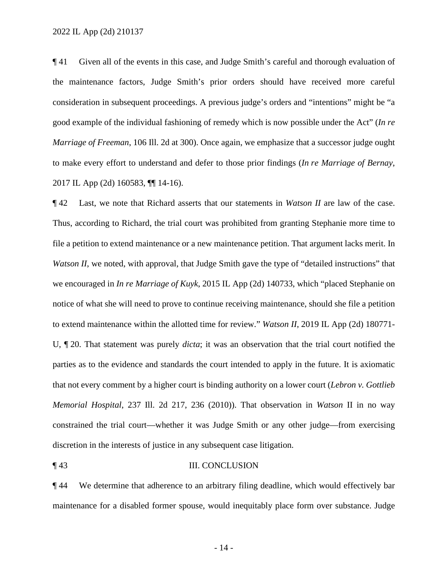*Marriage of Freeman*, 106 Ill. 2d at 300). Once again, we emphasize that a successor judge ought  to make every effort to understand and defer to those prior findings (*In re Marriage of Bernay*, ¶ 41 Given all of the events in this case, and Judge Smith's careful and thorough evaluation of the maintenance factors, Judge Smith's prior orders should have received more careful consideration in subsequent proceedings. A previous judge's orders and "intentions" might be "a good example of the individual fashioning of remedy which is now possible under the Act" (*In re*  2017 IL App (2d) 160583, ¶¶ 14-16).

 U, ¶ 20. That statement was purely *dicta*; it was an observation that the trial court notified the ¶ 42 Last, we note that Richard asserts that our statements in *Watson II* are law of the case. Thus, according to Richard, the trial court was prohibited from granting Stephanie more time to file a petition to extend maintenance or a new maintenance petition. That argument lacks merit. In *Watson II*, we noted, with approval, that Judge Smith gave the type of "detailed instructions" that we encouraged in *In re Marriage of Kuyk*, 2015 IL App (2d) 140733, which "placed Stephanie on notice of what she will need to prove to continue receiving maintenance, should she file a petition to extend maintenance within the allotted time for review." *Watson II*, 2019 IL App (2d) 180771 parties as to the evidence and standards the court intended to apply in the future. It is axiomatic that not every comment by a higher court is binding authority on a lower court (*Lebron v. Gottlieb Memorial Hospital*, 237 Ill. 2d 217, 236 (2010)). That observation in *Watson* II in no way constrained the trial court—whether it was Judge Smith or any other judge—from exercising discretion in the interests of justice in any subsequent case litigation.

#### ¶ 43 III. CONCLUSION

 maintenance for a disabled former spouse, would inequitably place form over substance. Judge ¶ 44 We determine that adherence to an arbitrary filing deadline, which would effectively bar

- 14 -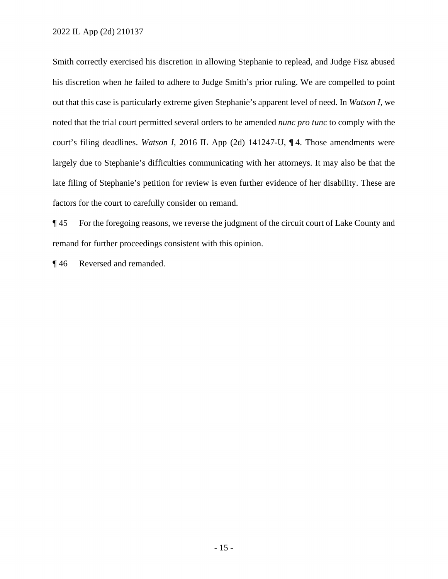noted that the trial court permitted several orders to be amended *nunc pro tunc* to comply with the Smith correctly exercised his discretion in allowing Stephanie to replead, and Judge Fisz abused his discretion when he failed to adhere to Judge Smith's prior ruling. We are compelled to point out that this case is particularly extreme given Stephanie's apparent level of need. In *Watson I*, we court's filing deadlines. *Watson I*, 2016 IL App (2d) 141247-U, ¶ 4. Those amendments were largely due to Stephanie's difficulties communicating with her attorneys. It may also be that the late filing of Stephanie's petition for review is even further evidence of her disability. These are factors for the court to carefully consider on remand.

¶ 45 For the foregoing reasons, we reverse the judgment of the circuit court of Lake County and remand for further proceedings consistent with this opinion.

¶ 46 Reversed and remanded.